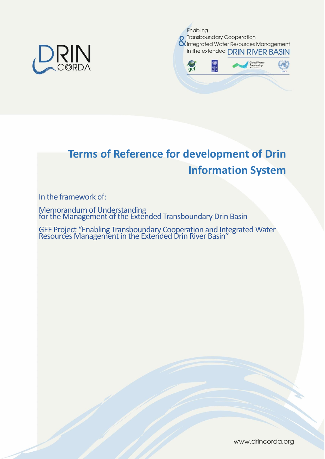



# **Terms of Reference for development of Drin Information System**

In the framework of:

Memorandum of Understanding for the Management of the Extended Transboundary Drin Basin

GEF Project "Enabling Transboundary Cooperation and Integrated Water Resources Management in the Extended Drin River Basin"

www.drincorda.org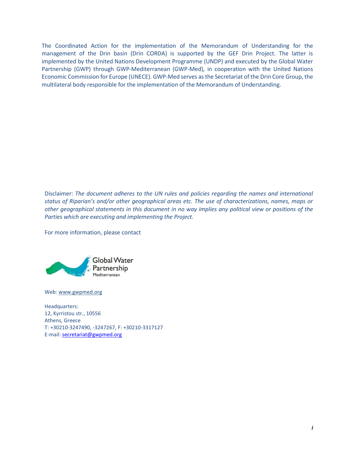The Coordinated Action for the implementation of the Memorandum of Understanding for the management of the Drin basin (Drin CORDA) is supported by the GEF Drin Project. The latter is implemented by the United Nations Development Programme (UNDP) and executed by the Global Water Partnership (GWP) through GWP-Mediterranean (GWP-Med), in cooperation with the United Nations Economic Commission for Europe (UNECE). GWP-Med serves as the Secretariat of the Drin Core Group, the multilateral body responsible for the implementation of the Memorandum of Understanding.

Disclaimer: *The document adheres to the UN rules and policies regarding the names and international status of Riparian's and/or other geographical areas etc. The use of characterizations, names, maps or other geographical statements in this document in no way implies any political view or positions of the Parties which are executing and implementing the Project.*

For more information, please contact



Web: [www.gwpmed.org](http://www.gwpmed.org/)

Headquarters: 12, Kyrristou str., 10556 Athens, Greece T: +30210-3247490, -3247267, F: +30210-3317127 E-mail: [secretariat@gwpmed.org](mailto:secretariat@gwpmed.org)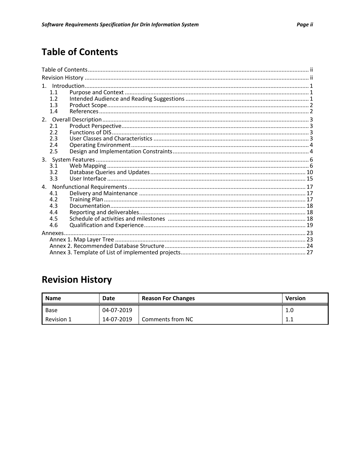# **Table of Contents**

| 1.1<br>1.2 |  |  |  |  |  |  |  |
|------------|--|--|--|--|--|--|--|
| 1.3<br>1.4 |  |  |  |  |  |  |  |
|            |  |  |  |  |  |  |  |
| 2.1        |  |  |  |  |  |  |  |
| 2.2        |  |  |  |  |  |  |  |
| 2.3        |  |  |  |  |  |  |  |
| 2.4<br>2.5 |  |  |  |  |  |  |  |
|            |  |  |  |  |  |  |  |
| 3.1        |  |  |  |  |  |  |  |
| 3.2        |  |  |  |  |  |  |  |
| 3.3        |  |  |  |  |  |  |  |
|            |  |  |  |  |  |  |  |
| 4.1        |  |  |  |  |  |  |  |
| 4.2        |  |  |  |  |  |  |  |
| 4.3        |  |  |  |  |  |  |  |
| 4.4        |  |  |  |  |  |  |  |
| 4.5        |  |  |  |  |  |  |  |
| 4.6        |  |  |  |  |  |  |  |
|            |  |  |  |  |  |  |  |
|            |  |  |  |  |  |  |  |
|            |  |  |  |  |  |  |  |
|            |  |  |  |  |  |  |  |

# **Revision History**

| <b>Name</b> | Date       | <b>Reason For Changes</b> | <b>Version</b> |
|-------------|------------|---------------------------|----------------|
| Base        | 04-07-2019 |                           | 1.0            |
| Revision 1  | 14-07-2019 | Comments from NC          | 1.<br>.        |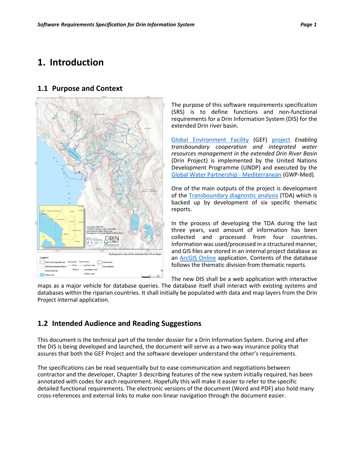## <span id="page-3-0"></span>**1. Introduction**

#### **1.1 Purpose and Context**



The purpose of this software requirements specification (SRS) is to define functions and non-functional requirements for a Drin Information System (DIS) for the extended Drin river basin.

[Global Environment Facility](http://www.thegef.org/) (GEF) [project](http://drincorda.iwlearn.org/gef-supported-drin-project) *Enabling transboundary cooperation and integrated water resources management in the extended Drin River Basin* (Drin Project) is implemented by the United Nations Development Programme (UNDP) and executed by the [Global Water Partnership -](https://www.gwp.org/en/gwp-mediterranean/) Mediterranean (GWP-Med).

One of the main outputs of the project is development of the [Transboundary diagnostic analysis](https://www.gwp.org/globalassets/global/gwp-med-files/announcements/international-expert-drin/c10101-drin-tda-tor.pdf) (TDA) which is backed up by development of six specific thematic reports.

In the process of developing the TDA during the last three years, vast amount of information has been collected and processed from four countries. Information was used/processed in a structured manner, and GIS files are stored in an internal project database as an [ArcGIS Online](https://www.esri.com/en-us/arcgis/products/arcgis-online/overview) application. Contents of the database follows the thematic division from thematic reports.

The new DIS shall be a web application with interactive

maps as a major vehicle for database queries. The database itself shall interact with existing systems and databases within the riparian countries. It shall initially be populated with data and map layers from the Drin Project internal application.

#### **1.2 Intended Audience and Reading Suggestions**

This document is the technical part of the tender dossier for a Drin Information System. During and after the DIS is being developed and launched, the document will serve as a two-way insurance policy that assures that both the GEF Project and the software developer understand the other's requirements.

The specifications can be read sequentially but to ease communication and negotiations between contractor and the developer, Chapte[r 3](#page-8-0) describing features of the new system initially required, has been annotated with codes for each requirement. Hopefully this will make it easier to refer to the specific detailed functional requirements. The electronic versions of the document (Word and PDF) also hold many cross-references and external links to make non-linear navigation through the document easier.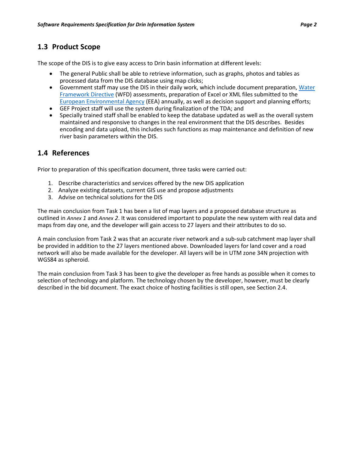## **1.3 Product Scope**

The scope of the DIS is to give easy access to Drin basin information at different levels:

- The general Public shall be able to retrieve information, such as graphs, photos and tables as processed data from the DIS database using map clicks;
- Government staff may use the DIS in their daily work, which include document preparation, [Water](https://en.wikipedia.org/wiki/Water_Framework_Directive)  [Framework Directive](https://en.wikipedia.org/wiki/Water_Framework_Directive) (WFD) assessments, preparation of Excel or XML files submitted to the [European Environmental Agency](https://www.eea.europa.eu/) (EEA) annually, as well as decision support and planning efforts;
- GEF Project staff will use the system during finalization of the TDA; and
- Specially trained staff shall be enabled to keep the database updated as well as the overall system maintained and responsive to changes in the real environment that the DIS describes. Besides encoding and data upload, this includes such functions as map maintenance and definition of new river basin parameters within the DIS.

## **1.4 References**

Prior to preparation of this specification document, three tasks were carried out:

- 1. Describe characteristics and services offered by the new DIS application
- 2. Analyze existing datasets, current GIS use and propose adjustments
- 3. Advise on technical solutions for the DIS

The main conclusion from Task 1 has been a list of map layers and a proposed database structure as outlined in *[Annex](#page-25-0) 1* and *[Annex](#page-26-0) 2*. It was considered important to populate the new system with real data and maps from day one, and the developer will gain access to 27 layers and their attributes to do so.

A main conclusion from Task 2 was that an accurate river network and a sub-sub catchment map layer shall be provided in addition to the 27 layers mentioned above. Downloaded layers for land cover and a road network will also be made available for the developer. All layers will be in UTM zone 34N projection with WGS84 as spheroid.

The main conclusion from Task 3 has been to give the developer as free hands as possible when it comes to selection of technology and platform. The technology chosen by the developer, however, must be clearly described in the bid document. The exact choice of hosting facilities is still open, see Sectio[n 2.4.](#page-6-0)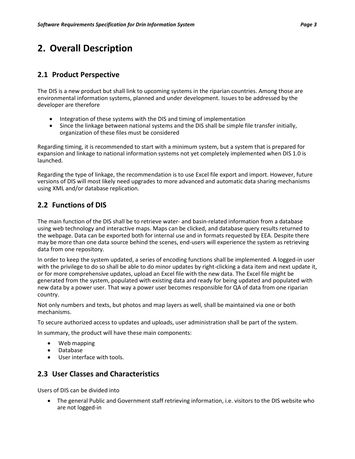# **2. Overall Description**

## **2.1 Product Perspective**

The DIS is a new product but shall link to upcoming systems in the riparian countries. Among those are environmental information systems, planned and under development. Issues to be addressed by the developer are therefore

- Integration of these systems with the DIS and timing of implementation
- Since the linkage between national systems and the DIS shall be simple file transfer initially, organization of these files must be considered

Regarding timing, it is recommended to start with a minimum system, but a system that is prepared for expansion and linkage to national information systems not yet completely implemented when DIS 1.0 is launched.

Regarding the type of linkage, the recommendation is to use Excel file export and import. However, future versions of DIS will most likely need upgrades to more advanced and automatic data sharing mechanisms using XML and/or database replication.

## **2.2 Functions of DIS**

The main function of the DIS shall be to retrieve water- and basin-related information from a database using web technology and interactive maps. Maps can be clicked, and database query results returned to the webpage. Data can be exported both for internal use and in formats requested by EEA. Despite there may be more than one data source behind the scenes, end-users will experience the system as retrieving data from one repository.

In order to keep the system updated, a series of encoding functions shall be implemented. A logged-in user with the privilege to do so shall be able to do minor updates by right-clicking a data item and next update it, or for more comprehensive updates, upload an Excel file with the new data. The Excel file might be generated from the system, populated with existing data and ready for being updated and populated with new data by a power user. That way a power user becomes responsible for QA of data from one riparian country.

Not only numbers and texts, but photos and map layers as well, shall be maintained via one or both mechanisms.

To secure authorized access to updates and uploads, user administration shall be part of the system.

In summary, the product will have these main components:

- Web mapping
- Database
- User interface with tools.

## **2.3 User Classes and Characteristics**

Users of DIS can be divided into

• The general Public and Government staff retrieving information, i.e. visitors to the DIS website who are not logged-in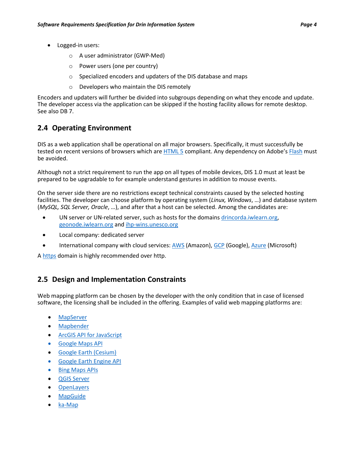- Logged-in users:
	- o A user administrator (GWP-Med)
	- o Power users (one per country)
	- o Specialized encoders and updaters of the DIS database and maps
	- o Developers who maintain the DIS remotely

Encoders and updaters will further be divided into subgroups depending on what they encode and update. The developer access via the application can be skipped if the hosting facility allows for remote desktop. See als[o DB 7.](#page-16-0)

## <span id="page-6-0"></span>**2.4 Operating Environment**

DIS as a web application shall be operational on all major browsers. Specifically, it must successfully be tested on recent versions of browsers which are [HTML 5](https://en.wikipedia.org/wiki/HTML5) compliant. Any dependency on Adobe's [Flash](https://en.wikipedia.org/wiki/Adobe_Flash) must be avoided.

Although not a strict requirement to run the app on all types of mobile devices, DIS 1.0 must at least be prepared to be upgradable to for example understand gestures in addition to mouse events.

On the server side there are no restrictions except technical constraints caused by the selected hosting facilities. The developer can choose platform by operating system (*Linux, Windows*, …) and database system (*MySQL, SQL Server, Oracle*, …), and after that a host can be selected. Among the candidates are:

- UN server or UN-related server, such as hosts for the domain[s drincorda.iwlearn.org,](http://drincorda.iwlearn.org/) [geonode.iwlearn.org](http://geonode.iwlearn.org/) and [ihp-wins.unesco.org](http://ihp-wins.unesco.org/)
- Local company: dedicated server
- International company with cloud services: [AWS](https://aws.amazon.com/ec2/?nc2=h_m1) (Amazon)[, GCP](https://cloud.google.com/compute/pricing) (Google)[, Azure](https://azure.microsoft.com/en-us/overview/what-is-azure/iaas/) (Microsoft)

[A https](https://en.wikipedia.org/wiki/HTTPS) domain is highly recommended over http.

## **2.5 Design and Implementation Constraints**

Web mapping platform can be chosen by the developer with the only condition that in case of licensed software, the licensing shall be included in the offering. Examples of valid web mapping platforms are:

- **[MapServer](https://www.mapserver.org/)**
- [Mapbender](https://www.mapbender.org/)
- [ArcGIS API for JavaScript](https://developers.arcgis.com/javascript/)
- [Google Maps API](https://developers.google.com/maps/documentation/javascript/tutorial)
- [Google Earth \(Cesium\)](https://cesiumjs.org/tutorials/google-earth/Part-I/)
- [Google Earth Engine API](https://developers.google.com/earth-engine/)
- **[Bing Maps APIs](https://www.microsoft.com/en-us/maps/choose-your-bing-maps-api)**
- [QGIS Server](https://docs.qgis.org/2.14/en/docs/user_manual/working_with_ogc/ogc_server_support.html)
- **[OpenLayers](https://openlayers.org/)**
- **[MapGuide](http://mapguide.osgeo.org/)**
- [ka-Map](http://ka-map.maptools.org/index.phtml)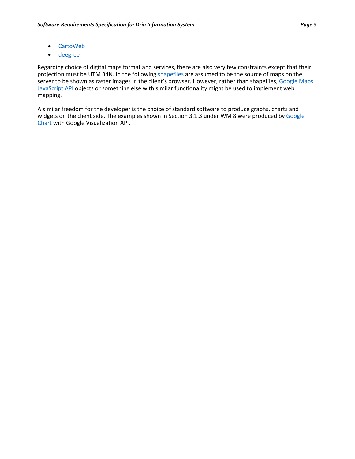- [CartoWeb](http://cartoweb.org/)
- [deegree](http://www.deegree.org/)

Regarding choice of digital maps format and services, there are also very few constraints except that their projection must be UTM 34N. In the following [shapefiles](https://en.wikipedia.org/wiki/Shapefile) are assumed to be the source of maps on the server to be shown as raster images in the client's browser. However, rather than shapefiles, Google Maps [JavaScript](https://developers.google.com/maps/documentation/javascript/reference/3.exp/) API objects or something else with similar functionality might be used to implement web mapping.

A similar freedom for the developer is the choice of standard software to produce graphs, charts and widgets on the client side. The examples shown in Section [3.1.3](#page-9-0) under [WM 8](#page-10-0) were produced by Google [Chart](https://developers.google.com/chart/) with Google Visualization API.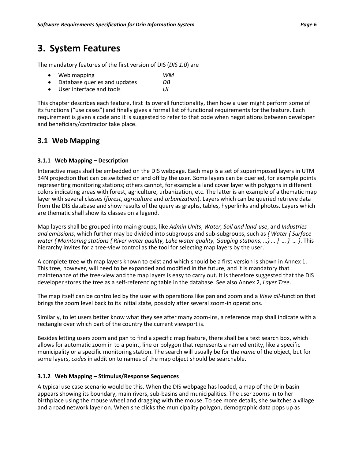## <span id="page-8-0"></span>**3. System Features**

The mandatory features of the first version of DIS (*DIS 1.0*) are

| $\bullet$ | Web mapping                  | WM  |
|-----------|------------------------------|-----|
| $\bullet$ | Database queries and updates | DB  |
| $\bullet$ | User interface and tools     | IJΙ |

This chapter describes each feature, first its overall functionality, then how a user might perform some of

its functions ("use cases") and finally gives a formal list of functional requirements for the feature. Each requirement is given a code and it is suggested to refer to that code when negotiations between developer and beneficiary/contractor take place.

## **3.1 Web Mapping**

#### **3.1.1 Web Mapping – Description**

Interactive maps shall be embedded on the DIS webpage. Each map is a set of superimposed layers in UTM 34N projection that can be switched on and off by the user. Some layers can be queried, for example points representing monitoring stations; others cannot, for example a land cover layer with polygons in different colors indicating areas with forest, agriculture, urbanization, etc. The latter is an example of a thematic map layer with several classes (*forest*, *agriculture* and *urbanization*). Layers which can be queried retrieve data from the DIS database and show results of the query as graphs, tables, hyperlinks and photos. Layers which are thematic shall show its classes on a legend.

Map layers shall be grouped into main groups, like *Admin Units*, *Water, Soil and land-use*, and *Industries and emissions*, which further may be divided into subgroups and sub-subgroups, such as *{ Water { Surface water { Monitoring stations { River water quality, Lake water quality, Gauging stations, …} … } … } … }*. This hierarchy invites for a tree-view control as the tool for selecting map layers by the user.

A complete tree with map layers known to exist and which should be a first version is shown in [Annex 1.](#page-25-0) This tree, however, will need to be expanded and modified in the future, and it is mandatory that maintenance of the tree-view and the map layers is easy to carry out. It is therefore suggested that the DIS developer stores the tree as a self-referencing table in the database. See als[o Annex 2,](#page-26-0) *Layer Tree*.

The map itself can be controlled by the user with operations like pan and zoom and a *View all*-function that brings the zoom level back to its initial state, possibly after several zoom-in operations.

Similarly, to let users better know what they see after many zoom-ins, a reference map shall indicate with a rectangle over which part of the country the current viewport is.

Besides letting users zoom and pan to find a specific map feature, there shall be a text search box, which allows for automatic zoom in to a point, line or polygon that represents a named entity, like a specific municipality or a specific monitoring station. The search will usually be for the *name* of the object, but for some layers, *codes* in addition to names of the map object should be searchable.

#### <span id="page-8-1"></span>**3.1.2 Web Mapping – Stimulus/Response Sequences**

A typical use case scenario would be this. When the DIS webpage has loaded, a map of the Drin basin appears showing its boundary, main rivers, sub-basins and municipalities. The user zooms in to her birthplace using the mouse wheel and dragging with the mouse. To see more details, she switches a village and a road network layer on. When she clicks the municipality polygon, demographic data pops up as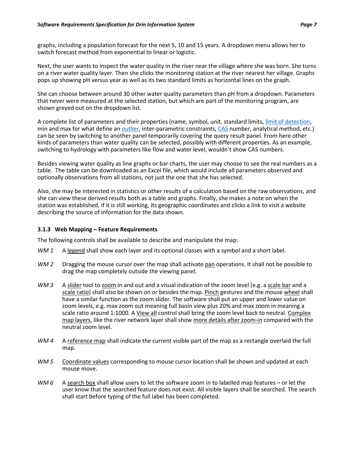graphs, including a population forecast for the next 5, 10 and 15 years. A dropdown menu allows her to switch forecast method from exponential to linear or logistic.

Next, the user wants to inspect the water quality in the river near the village where she was born. She turns on a river water quality layer. Then she clicks the monitoring station at the river nearest her village. Graphs pops up showing pH versus year as well as its two standard limits as horizontal lines on the graph.

She can choose between around 30 other water quality parameters than pH from a dropdown. Parameters that never were measured at the selected station, but which are part of the monitoring program, are shown greyed out on the dropdown list.

A complete list of parameters and their properties (name, symbol, unit, standard limits, [limit of detection,](https://en.wikipedia.org/wiki/Detection_limit) min and max for what define an [outlier,](https://www.itl.nist.gov/div898/handbook/prc/section1/prc16.htm) inter-parametric constraints, [CAS](https://en.wikipedia.org/wiki/CAS_Registry_Number) number, analytical method, etc.) can be seen by switching to another panel temporarily covering the query result panel. From here other kinds of parameters than water quality can be selected, possibly with different properties. As an example, switching to hydrology with parameters like flow and water level, wouldn't show CAS numbers.

Besides viewing water quality as line graphs or bar charts, the user may choose to see the real numbers as a table. The table can be downloaded as an Excel file, which would include all parameters observed and optionally observations from all stations, not just the one that she has selected.

Also, she may be interested in statistics or other results of a calculation based on the raw observations, and she can view these derived results both as a table and graphs. Finally, she makes a note on when the station was established, if it is still working, its geographic coordinates and clicks a link to visit a website describing the source of information for the data shown.

#### <span id="page-9-0"></span>**3.1.3 Web Mapping – Feature Requirements**

The following controls shall be available to describe and manipulate the map:

- *WM 1* A legend shall show each layer and its optional classes with a symbol and a short label.
- WM 2 Dragging the mouse cursor over the map shall activate pan operations. It shall not be possible to drag the map completely outside the viewing panel.
- *WM 3* A slider tool to zoom in and out and a visual indication of the zoom level (e.g. a scale bar and a scale ratio) shall also be shown on or besides the map. Pinch gestures and the mouse wheel shall have a similar function as the zoom slider. The software shall put an upper and lower value on zoom levels, e.g. max zoom out meaning full basin view plus 20% and max zoom in meaning a scale ratio around 1:1000. A View all control shall bring the zoom level back to neutral. Complex map layers, like the river network layer shall show more details after zoom-in compared with the neutral zoom level.
- WM 4 A reference map shall indicate the current visible part of the map as a rectangle overlaid the full map.
- *WM 5* Coordinate values corresponding to mouse cursor location shall be shown and updated at each mouse move.
- <span id="page-9-1"></span>*WM 6* A search box shall allow users to let the software zoom in to labelled map features – or let the user know that the searched feature does not exist. All visible layers shall be searched. The search shall start before typing of the full label has been completed.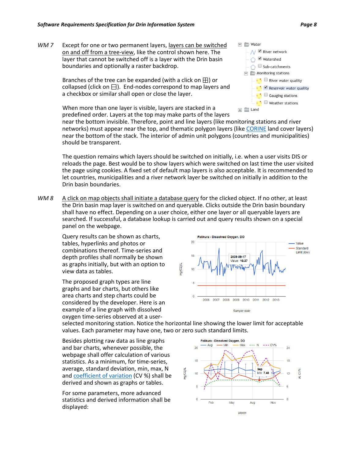*WM 7* Except for one or two permanent layers, layers can be switched on and off from a tree-view, like the control shown here. The layer that cannot be switched off is a layer with the Drin basin boundaries and optionally a raster backdrop.

> Branches of the tree can be expanded (with a click on  $\boxplus$ ) or collapsed (click on  $\boxminus$ ). End-nodes correspond to map layers and a checkbox or similar shall open or close the layer.

> When more than one layer is visible, layers are stacked in a predefined order. Layers at the top may make parts of the layers



near the bottom invisible. Therefore, point and line layers (like monitoring stations and river networks) must appear near the top, and thematic polygon layers (like [CORINE](https://www.eea.europa.eu/publications/COR0-landcover) land cover layers) near the bottom of the stack. The interior of admin unit polygons (countries and municipalities) should be transparent.

The question remains which layers should be switched on initially, i.e. when a user visits DIS or reloads the page. Best would be to show layers which were switched on last time the user visited the page using cookies. A fixed set of default map layers is also acceptable. It is recommended to let countries, municipalities and a river network layer be switched on initially in addition to the Drin basin boundaries.

<span id="page-10-0"></span>*WM 8* A click on map objects shall initiate a database query for the clicked object. If no other, at least the Drin basin map layer is switched on and queryable. Clicks outside the Drin basin boundary shall have no effect. Depending on a user choice, either one layer or all queryable layers are searched. If successful, a database lookup is carried out and query results shown on a special panel on the webpage.

Query results can be shown as charts, tables, hyperlinks and photos or combinations thereof. Time-series and depth profiles shall normally be shown as graphs initially, but with an option to view data as tables.

The proposed graph types are line graphs and bar charts, but others like area charts and step charts could be considered by the developer. Here is an example of a line graph with dissolved oxygen time-series observed at a user-



selected monitoring station. Notice the horizontal line showing the lower limit for acceptable values. Each parameter may have one, two or zero such standard limits.

Besides plotting raw data as line graphs and bar charts, whenever possible, the webpage shall offer calculation of various statistics. As a minimum, for time-series, average, standard deviation, min, max, N an[d coefficient of variation](https://en.wikipedia.org/wiki/Coefficient_of_variation) (CV %) shall be derived and shown as graphs or tables.

For some parameters, more advanced statistics and derived information shall be displayed:

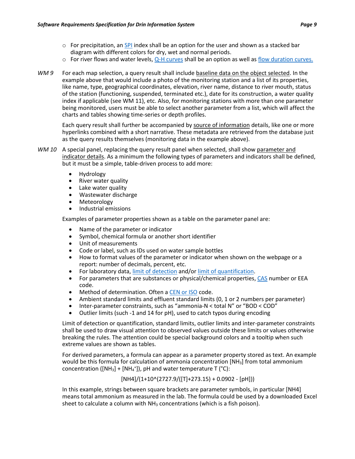- $\circ$  For precipitation, an [SPI](http://drought.unl.edu/portals/0/docs/spi-program-alternative-method.pdf) index shall be an option for the user and shown as a stacked bar diagram with different colors for dry, wet and normal periods.
- $\circ$  For river flows and water levels[, Q-H curves](https://en.wikipedia.org/wiki/Rating_curve) shall be an option as well as flow [duration curves.](http://www.renewablesfirst.co.uk/hydropower/hydropower-learning-centre/what-is-a-flow-duration-curve/)
- <span id="page-11-1"></span>*WM 9* For each map selection, a query result shall include baseline data on the object selected. In the example above that would include a photo of the monitoring station and a list of its properties, like name, type, geographical coordinates, elevation, river name, distance to river mouth, status of the station (functioning, suspended, terminated etc.), date for its construction, a water quality index if applicable (se[e WM 11\)](#page-12-0), etc. Also, for monitoring stations with more than one parameter being monitored, users must be able to select another parameter from a list, which will affect the charts and tables showing time-series or depth profiles.

Each query result shall further be accompanied by source of information details, like one or more hyperlinks combined with a short narrative. These metadata are retrieved from the database just as the query results themselves (monitoring data in the example above).

- <span id="page-11-0"></span>*WM 10* A special panel, replacing the query result panel when selected, shall show parameter and indicator details. As a minimum the following types of parameters and indicators shall be defined, but it must be a simple, table-driven process to add more:
	- Hydrology
	- River water quality
	- Lake water quality
	- Wastewater discharge
	- Meteorology
	- Industrial emissions

Examples of parameter properties shown as a table on the parameter panel are:

- Name of the parameter or indicator
- Symbol, chemical formula or another short identifier
- Unit of measurements
- Code or label, such as IDs used on water sample bottles
- How to format values of the parameter or indicator when shown on the webpage or a report: number of decimals, percent, etc.
- For laboratory data[, limit of detection](https://en.wikipedia.org/wiki/Detection_limit) and/or [limit of quantification.](http://www.cysonline.org/article.asp?issn=2229-5186;year=2011;volume=2;issue=1;spage=21;epage=25;aulast=Shrivastava)
- For parameters that are substances or physical/chemical properties, [CAS](https://en.wikipedia.org/wiki/CAS_Registry_Number) number or EEA code.
- Method of determination. Often a [CEN or ISO](https://www.envirotech-online.com/article/air-monitoring/6/source-testing-association/understanding-european-cen-and-international-iso-standards/1765) code.
- Ambient standard limits and effluent standard limits (0, 1 or 2 numbers per parameter)
- Inter-parameter constraints, such as "ammonia-N < total N" or "BOD < COD"
- Outlier limits (such -1 and 14 for pH), used to catch typos during encoding

Limit of detection or quantification, standard limits, outlier limits and inter-parameter constraints shall be used to draw visual attention to observed values outside these limits or values otherwise breaking the rules. The attention could be special background colors and a tooltip when such extreme values are shown as tables.

For derived parameters, a formula can appear as a parameter property stored as text. An example would be this formula for calculation of ammonia concentration [NH3] from total ammonium concentration ([NH<sub>3</sub>] + [NH<sub>4</sub><sup>+</sup>]), pH and water temperature T (°C):

 $[NH4]/(1+10^{(2727.9/([T]+273.15)+0.0902 - [pH]))$ 

In this example, strings between square brackets are parameter symbols, in particular [NH4] means total ammonium as measured in the lab. The formula could be used by a downloaded Excel sheet to calculate a column with  $NH<sub>3</sub>$  concentrations (which is a fish poison).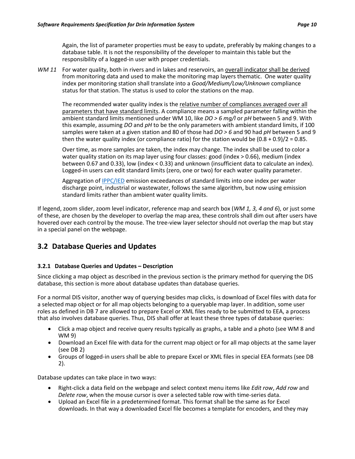Again, the list of parameter properties must be easy to update, preferably by making changes to a database table. It is not the responsibility of the developer to maintain this table but the responsibility of a logged-in user with proper credentials.

<span id="page-12-0"></span>WM 11 For water quality, both in rivers and in lakes and reservoirs, an overall indicator shall be derived from monitoring data and used to make the monitoring map layers thematic. One water quality index per monitoring station shall translate into a *Good/Medium/Low/Unknown* compliance status for that station. The status is used to color the stations on the map.

The recommended water quality index is the relative number of compliances averaged over all parameters that have standard limits. A compliance means a sampled parameter falling within the ambient standard limits mentioned under [WM 10,](#page-11-0) like *DO > 6 mg/l* or *pH* between 5 and 9. With this example, assuming *DO* and *pH* to be the only parameters with ambient standard limits, if 100 samples were taken at a given station and 80 of those had *DO > 6* and 90 had *pH* between 5 and 9 then the water quality index (or compliance ratio) for the station would be  $(0.8 + 0.9)/2 = 0.85$ .

Over time, as more samples are taken, the index may change. The index shall be used to color a water quality station on its map layer using four classes: good (index > 0.66), medium (index between 0.67 and 0.33), low (index < 0.33) and unknown (insufficient data to calculate an index). Logged-in users can edit standard limits (zero, one or two) for each water quality parameter.

Aggregation of [IPPC/IED](http://ec.europa.eu/environment/industry/stationary/ied/faq.htm#annex1.5) emission exceedances of standard limits into one index per water discharge point, industrial or wastewater, follows the same algorithm, but now using emission standard limits rather than ambient water quality limits.

If legend, zoom slider, zoom level indicator, reference map and search box (*WM 1, 3, 4 and 6*), or just some of these, are chosen by the developer to overlap the map area, these controls shall dim out after users have hovered over each control by the mouse. The tree-view layer selector should not overlap the map but stay in a special panel on the webpage.

## **3.2 Database Queries and Updates**

#### **3.2.1 Database Queries and Updates – Description**

Since clicking a map object as described in the previous section is the primary method for querying the DIS database, this section is more about database updates than database queries.

For a normal DIS visitor, another way of querying besides map clicks, is download of Excel files with data for a selected map object or for all map objects belonging to a queryable map layer. In addition, some user roles as defined i[n DB 7](#page-16-0) are allowed to prepare Excel or XML files ready to be submitted to EEA, a process that also involves database queries. Thus, DIS shall offer at least these three types of database queries:

- Click a map object and receive query results typically as graphs, a table and a photo (see [WM 8](#page-10-0) and [WM 9\)](#page-11-1)
- Download an Excel file with data for the current map object or for all map objects at the same layer (see [DB 2\)](#page-14-0)
- Groups of logged-in users shall be able to prepare Excel or XML files in special EEA formats (see [DB](#page-14-0)  [2\)](#page-14-0).

Database updates can take place in two ways:

- Right-click a data field on the webpage and select context menu items like *Edit row*, *Add row* and *Delete row*, when the mouse cursor is over a selected table row with time-series data.
- Upload an Excel file in a predetermined format. This format shall be the same as for Excel downloads. In that way a downloaded Excel file becomes a template for encoders, and they may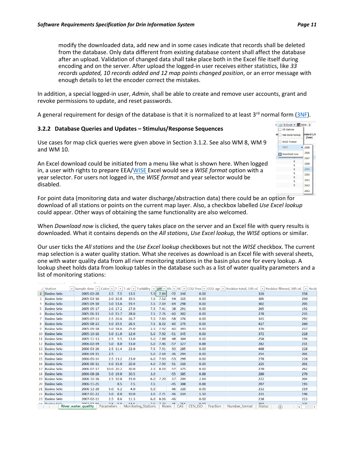modify the downloaded data, add new and in some cases indicate that records shall be deleted from the database. Only data different from existing database content shall affect the database after an upload. Validation of changed data shall take place both in the Excel file itself during encoding and on the server. After upload the logged-in user receives either statistics, like *33 records updated, 10 records added and 12 map points changed position*, or an error message with enough details to let the encoder correct the mistakes.

In addition, a special logged-in user, *Admin*, shall be able to create and remove user accounts, grant and revoke permissions to update, and reset passwords.

<span id="page-13-0"></span>A general requirement for design of the database is that it is normalized to at least  $3^{rd}$  normal form [\(3NF\)](https://en.wikipedia.org/wiki/Third_normal_form).

#### **3.2.2 Database Queries and Updates – Stimulus/Response Sequences**

Use cases for map click queries were given above in Sectio[n 3.1.2.](#page-8-1) See also [WM 8,](#page-10-0) [WM 9](#page-11-1) and [WM 10.](#page-11-0)

An Excel download could be initiated from a menu like what is shown here. When logged in, a user with rights to prepare EEA[/WISE](https://rod.eionet.europa.eu/obligations/714) Excel would see a *WISE format* option with a year selector. For users not logged in, the *WISE format* and year selector would be disabled.

t By To Excel ▼ Print  $\doteq$ All stations Use Excel lookup lard Lir (low) WISE Format 2012 2005 2006 Download now 2007  $\overline{9}$ 2008 2009  $\overline{9}$ 2010  $\overline{9}$ 2011 2012 2013

For point data (monitoring data and water discharge/abstraction data) there could be an option for download of all stations or points on the current map layer. Also, a checkbox labelled *Use Excel lookup* could appear. Other ways of obtaining the same functionality are also welcomed.

When *Download now* is clicked, the query takes place on the server and an Excel file with query results is downloaded. What it contains depends on the *All stations*, *Use Excel lookup,* the *WISE* options or similar.

Our user ticks the *All stations* and the *Use Excel lookup* checkboxes but not the *WISE* checkbox. The current map selection is a water quality station. What she receives as download is an Excel file with several sheets, one with water quality data from all river monitoring stations in the basin plus one for every lookup. A lookup sheet holds data from lookup tables in the database such as a list of water quality parameters and a list of monitoring stations:

|   | <b>Station</b>     |                                                            |                 |             |                                   |                  |       |            |                             |                                       | > Sample date > Color > T > T-air > Turbidity > pH > Eh > EC > CO2-free > CO2-agr > Residue total, 105 oC > Residue filtered, 105 oC > Residue |
|---|--------------------|------------------------------------------------------------|-----------------|-------------|-----------------------------------|------------------|-------|------------|-----------------------------|---------------------------------------|------------------------------------------------------------------------------------------------------------------------------------------------|
|   | 2 Basino Selo      | 2005-02-20                                                 | $2.5$ 7.5       | 13.5        | 7.5                               | 7.84             | $-72$ | 340        | 0.00                        | 326                                   | 258                                                                                                                                            |
| 3 | <b>Basino Selo</b> | 2005-03-16                                                 | $2.0$ 10.8      | 19.5        | 7.5                               | 7.52             | $-54$ | 315        | 0.00                        | 305                                   | 250                                                                                                                                            |
|   | <b>Basino Selo</b> | 2005-04-10                                                 | 5.0 13.6        | 19.4        | 7.5                               | 7.69             | $-64$ | 298        | 0.00                        | 302                                   | 205                                                                                                                                            |
|   | <b>Basino Selo</b> | 2005-05-17                                                 | $2.0$ 17.2      | 27.0        | 7.5                               | 7.41             | $-38$ | 291        | 0.00                        | 265                                   | 192                                                                                                                                            |
|   | <b>Basino Selo</b> | 2005-06-13                                                 | 5.0 15.7        | 28.0        | 7.5                               | 7.76             | $-60$ | 302        | 0.00                        | 278                                   | 235                                                                                                                                            |
|   | <b>Basino Selo</b> | 2005-07-13                                                 | $2.5$ 20.6      | 26.7        | 7.5                               | 7.83             | $-58$ | 376        | 0.00                        | 345                                   | 292                                                                                                                                            |
|   | <b>Basino Selo</b> | 2005-08-23                                                 | 5.0 19.5        | 26.5        | 7.5                               | 8.02             | $-60$ | 375        | 0.00                        | 427                                   | 260                                                                                                                                            |
|   | <b>Basino Selo</b> | 2005-09-18                                                 | 5.0 18.6        | 25.0        | 2.5                               | 7.92             | $-60$ | 393        | 0.00                        | 376                                   | 237                                                                                                                                            |
|   | 10 Basino Selo     | 2005-10-16                                                 | 5.0 11.0        | 12.0        | 5.0                               | 7.92             | $-51$ | 345        | 0.00                        | 372                                   | 228                                                                                                                                            |
|   | 11 Basino Selo     | 2005-11-13                                                 | $2.5$ 9.5       | 13.0        | 5.0                               | 7.88             | $-48$ | 304        | 0.00                        | 258                                   | 194                                                                                                                                            |
|   | 12 Basino Selo     | 2006-02-19                                                 | $5.0\quad 8.0$  | 13.0        | 5.0                               | 7.96             | $-57$ | 327        | 0.88                        | 282                                   | 231                                                                                                                                            |
|   | 13 Basino Selo     | 2006-03-26                                                 | $2.5$ 11.4      | 22.0        | 7.5                               | 7.91             | $-50$ | 285        | 0.00                        | 408                                   | 228                                                                                                                                            |
|   | 14 Basino Selo     | 2006-04-15                                                 | 2.5             |             | 5.0                               | 7.64             | $-36$ | 294        | 0.00                        | 254                                   | 201                                                                                                                                            |
|   | 15 Basino Selo     | 2006-05-14                                                 | $2.5$ 13.2      | 23.0        | 6.0                               | 7.93             | $-53$ | 299        | 0.00                        | 278                                   | 228                                                                                                                                            |
|   | 16 Basino Selo     | 2006-06-11                                                 | 5.0 15.0        | 20.0        | 4.0                               | 7.90             | $-51$ | 310        | 0.00                        | 225                                   | 201                                                                                                                                            |
|   | 17 Basino Selo     | 2006-07-17                                                 | 10.0 20.2       | 30.0        | 2.5                               | 8.03             | $-57$ | 375        | 0.00                        | 270                                   | 262                                                                                                                                            |
|   | 18 Basino Selo     | 2006-08-28                                                 | 5.0 19.0        | 30.5        | 3.0                               |                  | $-55$ | 385        | 0.88                        | 280                                   | 270                                                                                                                                            |
|   | 19 Basino Selo     | 2006-10-16                                                 | $2.5$ 10.8      | 15.0        | 6.0                               | 7.29             | $-17$ | 294        | 2.64                        | 222                                   | 204                                                                                                                                            |
|   | 20 Basino Selo     | 2006-11-25                                                 | 8.5             | 7.5         | 7.5                               |                  | $-45$ | 308        | 0.88                        | 207                                   | 193                                                                                                                                            |
|   | 21 Basino Selo     | 2006-12-20                                                 | 5.0<br>6.2      | 4.0         | 5.0                               |                  | $-46$ | 320        | 0.00                        | 232                                   | 219                                                                                                                                            |
|   | 22 Basino Selo     | 2007-01-22                                                 | 5.0<br>8.0      | 10.0        | 3.0                               | 7.71             | $-46$ | 334        | 1.50                        | 221                                   | 196                                                                                                                                            |
|   | 23 Basino Selo     | 2007-02-11                                                 | 2.5<br>8.6      | 11.3        | 6.0                               | 8.06             | $-46$ |            | 0.00                        | 238                                   | 223                                                                                                                                            |
|   | 24 Daoine Cale     | <b>מח כם דחחר</b><br><b>River water quality</b> Parameters | 2.5<br>$\theta$ | <b>14 C</b> | 7 E<br><b>Monitoring Stations</b> | - 7.70<br>Rivers | AC.   | 251<br>CAS | 0.00<br>CEN ISO<br>Fraction | 200<br><b>Status</b><br>Number format | noc.<br>$\bigoplus$<br>$-1$                                                                                                                    |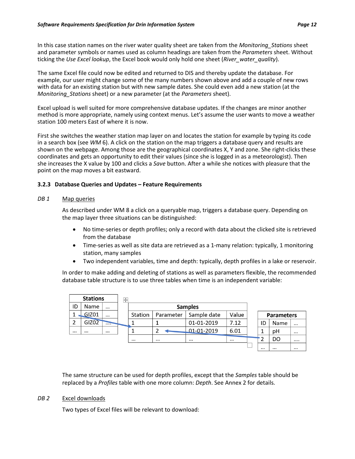In this case station names on the river water quality sheet are taken from the *Monitoring\_Stations* sheet and parameter symbols or names used as column headings are taken from the *Parameters* sheet. Without ticking the *Use Excel lookup*, the Excel book would only hold one sheet (*River\_water\_quality*).

The same Excel file could now be edited and returned to DIS and thereby update the database. For example, our user might change some of the many numbers shown above and add a couple of new rows with data for an existing station but with new sample dates. She could even add a new station (at the *Monitoring\_Stations* sheet) or a new parameter (at the *Parameters* sheet).

Excel upload is well suited for more comprehensive database updates. If the changes are minor another method is more appropriate, namely using context menus. Let's assume the user wants to move a weather station 100 meters East of where it is now.

First she switches the weather station map layer on and locates the station for example by typing its code in a search box (see *[WM](#page-9-1)* 6). A click on the station on the map triggers a database query and results are shown on the webpage. Among those are the geographical coordinates X, Y and zone. She right-clicks these coordinates and gets an opportunity to edit their values (since she is logged in as a meteorologist). Then she increases the X value by 100 and clicks a *Save* button. After a while she notices with pleasure that the point on the map moves a bit eastward.

#### **3.2.3 Database Queries and Updates – Feature Requirements**

#### *DB 1* Map queries

As described unde[r WM 8](#page-10-0) a click on a queryable map, triggers a database query. Depending on the map layer three situations can be distinguished:

- No time-series or depth profiles; only a record with data about the clicked site is retrieved from the database
- Time-series as well as site data are retrieved as a 1-many relation: typically, 1 monitoring station, many samples
- Two independent variables, time and depth: typically, depth profiles in a lake or reservoir.

In order to make adding and deleting of stations as well as parameters flexible, the recommended database table structure is to use three tables when time is an independent variable:

|          | <b>Stations</b>   |          | ⊕ |          |                |             |          |  |          |                   |          |
|----------|-------------------|----------|---|----------|----------------|-------------|----------|--|----------|-------------------|----------|
| ID       | Name              |          |   |          | <b>Samples</b> |             |          |  |          |                   |          |
|          | <b>GIZ01</b>      | $\cdots$ |   | Station  | Parameter      | Sample date | Value    |  |          | <b>Parameters</b> |          |
| 2        | GIZ <sub>02</sub> | $\cdots$ |   |          |                | 01-01-2019  | 7.12     |  | ID       | Name              | $\cdots$ |
| $\cdots$ | $\cdots$          | $\cdots$ |   |          |                | 01-01-2019  | 6.01     |  |          | рH                | $\cdots$ |
|          |                   |          |   | $\cdots$ | $\cdots$       | $\cdots$    | $\cdots$ |  |          | DO                |          |
|          |                   |          |   |          |                |             |          |  | $\cdots$ | $\cdots$          | $\cdots$ |

The same structure can be used for depth profiles, except that the *Samples* table should be replaced by a *Profiles* table with one more column: *Depth*. See [Annex 2](#page-26-0) for details.

#### <span id="page-14-0"></span>*DB 2* Excel downloads

Two types of Excel files will be relevant to download: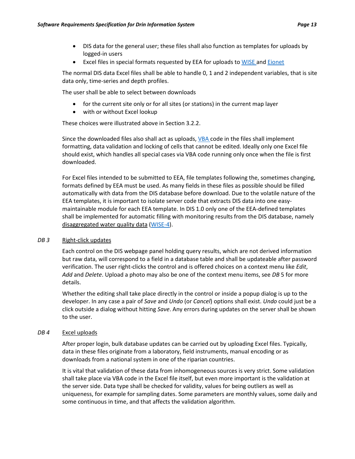- DIS data for the general user; these files shall also function as templates for uploads by logged-in users
- Excel files in special formats requested by EEA for uploads t[o WISE](https://rod.eionet.europa.eu/obligations/714) an[d Eionet](https://www.eionet.europa.eu/)

The normal DIS data Excel files shall be able to handle 0, 1 and 2 independent variables, that is site data only, time-series and depth profiles.

The user shall be able to select between downloads

- for the current site only or for all sites (or stations) in the current map layer
- with or without Excel lookup

These choices were illustrated above in Section [3.2.2.](#page-13-0)

Since the downloaded files also shall act as uploads[, VBA](https://en.wikipedia.org/wiki/Visual_Basic_for_Applications) code in the files shall implement formatting, data validation and locking of cells that cannot be edited. Ideally only one Excel file should exist, which handles all special cases via VBA code running only once when the file is first downloaded.

For Excel files intended to be submitted to EEA, file templates following the, sometimes changing, formats defined by EEA must be used. As many fields in these files as possible should be filled automatically with data from the DIS database before download. Due to the volatile nature of the EEA templates, it is important to isolate server code that extracts DIS data into one easymaintainable module for each EEA template. In DIS 1.0 only one of the EEA-defined templates shall be implemented for automatic filling with monitoring results from the DIS database, namely disaggregated water quality data [\(WISE-4\)](http://dd.eionet.europa.eu/datasets/3163).

#### *DB 3* Right-click updates

Each control on the DIS webpage panel holding query results, which are not derived information but raw data, will correspond to a field in a database table and shall be updateable after password verification. The user right-clicks the control and is offered choices on a context menu like *Edit*, *Add* and *Delete*. Upload a photo may also be one of the context menu items, see *[DB](#page-16-1)* 5 for more details.

Whether the editing shall take place directly in the control or inside a popup dialog is up to the developer. In any case a pair of *Save* and *Undo* (or *Cancel*) options shall exist. *Undo* could just be a click outside a dialog without hitting *Save*. Any errors during updates on the server shall be shown to the user.

#### *DB 4* Excel uploads

After proper login, bulk database updates can be carried out by uploading Excel files. Typically, data in these files originate from a laboratory, field instruments, manual encoding or as downloads from a national system in one of the riparian countries.

It is vital that validation of these data from inhomogeneous sources is very strict. Some validation shall take place via VBA code in the Excel file itself, but even more important is the validation at the server side. Data type shall be checked for validity, values for being outliers as well as uniqueness, for example for sampling dates. Some parameters are monthly values, some daily and some continuous in time, and that affects the validation algorithm.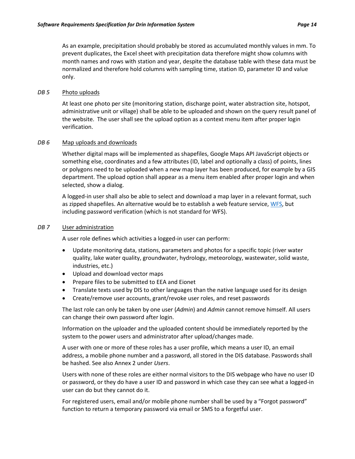As an example, precipitation should probably be stored as accumulated monthly values in mm. To prevent duplicates, the Excel sheet with precipitation data therefore might show columns with month names and rows with station and year, despite the database table with these data must be normalized and therefore hold columns with sampling time, station ID, parameter ID and value only.

#### <span id="page-16-1"></span>*DB 5* Photo uploads

At least one photo per site (monitoring station, discharge point, water abstraction site, hotspot, administrative unit or village) shall be able to be uploaded and shown on the query result panel of the website. The user shall see the upload option as a context menu item after proper login verification.

#### *DB 6* Map uploads and downloads

Whether digital maps will be implemented as shapefiles, Google Maps API JavaScript objects or something else, coordinates and a few attributes (ID, label and optionally a class) of points, lines or polygons need to be uploaded when a new map layer has been produced, for example by a GIS department. The upload option shall appear as a menu item enabled after proper login and when selected, show a dialog.

A logged-in user shall also be able to select and download a map layer in a relevant format, such as zipped shapefiles. An alternative would be to establish a web feature service[, WFS,](https://en.wikipedia.org/wiki/Web_Feature_Service) but including password verification (which is not standard for WFS).

#### <span id="page-16-0"></span>*DB 7* User administration

A user role defines which activities a logged-in user can perform:

- Update monitoring data, stations, parameters and photos for a specific topic (river water quality, lake water quality, groundwater, hydrology, meteorology, wastewater, solid waste, industries, etc.)
- Upload and download vector maps
- Prepare files to be submitted to EEA and Eionet
- Translate texts used by DIS to other languages than the native language used for its design
- Create/remove user accounts, grant/revoke user roles, and reset passwords

The last role can only be taken by one user (*Admin*) and *Admin* cannot remove himself. All users can change their own password after login.

Information on the uploader and the uploaded content should be immediately reported by the system to the power users and administrator after upload/changes made.

A user with one or more of these roles has a user profile, which means a user ID, an email address, a mobile phone number and a password, all stored in the DIS database. Passwords shall be hashed. See als[o Annex 2](#page-26-0) under *Users*.

Users with none of these roles are either normal visitors to the DIS webpage who have no user ID or password, or they do have a user ID and password in which case they can see what a logged-in user can do but they cannot do it.

For registered users, email and/or mobile phone number shall be used by a "Forgot password" function to return a temporary password via email or SMS to a forgetful user.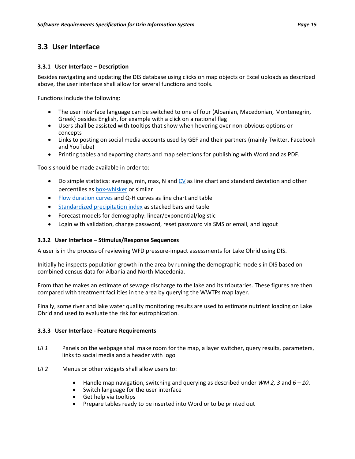## **3.3 User Interface**

#### **3.3.1 User Interface – Description**

Besides navigating and updating the DIS database using clicks on map objects or Excel uploads as described above, the user interface shall allow for several functions and tools.

Functions include the following:

- The user interface language can be switched to one of four (Albanian, Macedonian, Montenegrin, Greek) besides English, for example with a click on a national flag
- Users shall be assisted with tooltips that show when hovering over non-obvious options or concepts
- Links to posting on social media accounts used by GEF and their partners (mainly Twitter, Facebook and YouTube)
- Printing tables and exporting charts and map selections for publishing with Word and as PDF.

Tools should be made available in order to:

- Do simple statistics: average, min, max, N and  $CV$  as line chart and standard deviation and other percentiles as [box-whisker](https://en.wikipedia.org/wiki/Box_plot) or similar
- [Flow duration curves](https://link.springer.com/article/10.1007/s13201-016-0486-0) and Q-H curves as line chart and table
- [Standardized precipitation index](http://www.wamis.org/agm/pubs/SPI/WMO_1090_EN.pdf) as stacked bars and table
- Forecast models for demography: linear/exponential/logistic
- Login with validation, change password, reset password via SMS or email, and logout

#### **3.3.2 User Interface – Stimulus/Response Sequences**

A user is in the process of reviewing WFD pressure-impact assessments for Lake Ohrid using DIS.

Initially he inspects population growth in the area by running the demographic models in DIS based on combined census data for Albania and North Macedonia.

From that he makes an estimate of sewage discharge to the lake and its tributaries. These figures are then compared with treatment facilities in the area by querying the WWTPs map layer.

Finally, some river and lake water quality monitoring results are used to estimate nutrient loading on Lake Ohrid and used to evaluate the risk for eutrophication.

#### **3.3.3 User Interface - Feature Requirements**

- *UI 1* Panels on the webpage shall make room for the map, a layer switcher, query results, parameters, links to social media and a header with logo
- *UI 2* Menus or other widgets shall allow users to:
	- Handle map navigation, switching and querying as described under *WM 2, 3* and *6 – 10*.
	- Switch language for the user interface
	- Get help via tooltips
	- Prepare tables ready to be inserted into Word or to be printed out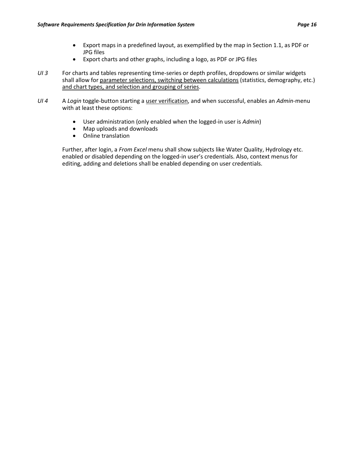- Export maps in a predefined layout, as exemplified by the map in Sectio[n 1.1,](#page-3-0) as PDF or JPG files
- Export charts and other graphs, including a logo, as PDF or JPG files
- *UI 3* For charts and tables representing time-series or depth profiles, dropdowns or similar widgets shall allow for parameter selections, switching between calculations (statistics, demography, etc.) and chart types, and selection and grouping of series.
- *UI 4* A *Login* toggle-button starting a user verification, and when successful, enables an *Admin*-menu with at least these options:
	- User administration (only enabled when the logged-in user is *Admin*)
	- Map uploads and downloads
	- Online translation

Further, after login, a *From Excel* menu shall show subjects like Water Quality, Hydrology etc. enabled or disabled depending on the logged-in user's credentials. Also, context menus for editing, adding and deletions shall be enabled depending on user credentials.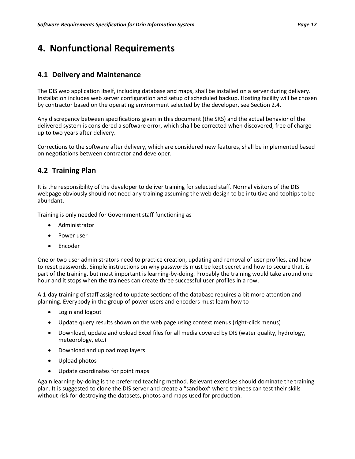# **4. Nonfunctional Requirements**

### **4.1 Delivery and Maintenance**

The DIS web application itself, including database and maps, shall be installed on a server during delivery. Installation includes web server configuration and setup of scheduled backup. Hosting facility will be chosen by contractor based on the operating environment selected by the developer, see Sectio[n 2.4.](#page-6-0)

Any discrepancy between specifications given in this document (the SRS) and the actual behavior of the delivered system is considered a software error, which shall be corrected when discovered, free of charge up to two years after delivery.

Corrections to the software after delivery, which are considered new features, shall be implemented based on negotiations between contractor and developer.

## **4.2 Training Plan**

It is the responsibility of the developer to deliver training for selected staff. Normal visitors of the DIS webpage obviously should not need any training assuming the web design to be intuitive and tooltips to be abundant.

Training is only needed for Government staff functioning as

- Administrator
- Power user
- Encoder

One or two user administrators need to practice creation, updating and removal of user profiles, and how to reset passwords. Simple instructions on why passwords must be kept secret and how to secure that, is part of the training, but most important is learning-by-doing. Probably the training would take around one hour and it stops when the trainees can create three successful user profiles in a row.

A 1-day training of staff assigned to update sections of the database requires a bit more attention and planning. Everybody in the group of power users and encoders must learn how to

- Login and logout
- Update query results shown on the web page using context menus (right-click menus)
- Download, update and upload Excel files for all media covered by DIS (water quality, hydrology, meteorology, etc.)
- Download and upload map layers
- Upload photos
- Update coordinates for point maps

Again learning-by-doing is the preferred teaching method. Relevant exercises should dominate the training plan. It is suggested to clone the DIS server and create a "sandbox" where trainees can test their skills without risk for destroying the datasets, photos and maps used for production.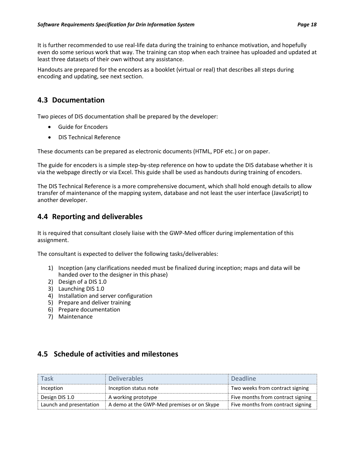It is further recommended to use real-life data during the training to enhance motivation, and hopefully even do some serious work that way. The training can stop when each trainee has uploaded and updated at least three datasets of their own without any assistance.

Handouts are prepared for the encoders as a booklet (virtual or real) that describes all steps during encoding and updating, see next section.

## **4.3 Documentation**

Two pieces of DIS documentation shall be prepared by the developer:

- Guide for Encoders
- DIS Technical Reference

These documents can be prepared as electronic documents (HTML, PDF etc.) or on paper.

The guide for encoders is a simple step-by-step reference on how to update the DIS database whether it is via the webpage directly or via Excel. This guide shall be used as handouts during training of encoders.

The DIS Technical Reference is a more comprehensive document, which shall hold enough details to allow transfer of maintenance of the mapping system, database and not least the user interface (JavaScript) to another developer.

## **4.4 Reporting and deliverables**

It is required that consultant closely liaise with the GWP-Med officer during implementation of this assignment.

The consultant is expected to deliver the following tasks/deliverables:

- 1) Inception (any clarifications needed must be finalized during inception; maps and data will be handed over to the designer in this phase)
- 2) Design of a DIS 1.0
- 3) Launching DIS 1.0
- 4) Installation and server configuration
- 5) Prepare and deliver training
- 6) Prepare documentation
- 7) Maintenance

## **4.5 Schedule of activities and milestones**

| Task                    | <b>Deliverables</b>                        | Deadline                          |
|-------------------------|--------------------------------------------|-----------------------------------|
| Inception               | Inception status note                      | Two weeks from contract signing   |
| Design DIS 1.0          | A working prototype                        | Five months from contract signing |
| Launch and presentation | A demo at the GWP-Med premises or on Skype | Five months from contract signing |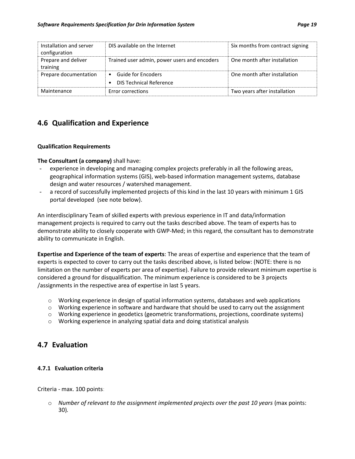| Installation and server<br>configuration | DIS available on the Internet                          | Six months from contract signing |
|------------------------------------------|--------------------------------------------------------|----------------------------------|
| Prepare and deliver<br>training          | Trained user admin, power users and encoders           | One month after installation     |
| Prepare documentation                    | • Guide for Encoders<br><b>DIS Technical Reference</b> | One month after installation     |
| Maintenance                              | Error corrections                                      | Two years after installation     |

## **4.6 Qualification and Experience**

#### **Qualification Requirements**

#### **The Consultant (a company)** shall have:

- experience in developing and managing complex projects preferably in all the following areas, geographical information systems (GIS), web-based information management systems, database design and water resources / watershed management.
- a record of successfully implemented projects of this kind in the last 10 years with minimum 1 GIS portal developed (see note below).

An interdisciplinary Team of skilled experts with previous experience in IT and data/information management projects is required to carry out the tasks described above. The team of experts has to demonstrate ability to closely cooperate with GWP-Med; in this regard, the consultant has to demonstrate ability to communicate in English.

**Expertise and Experience of the team of experts**: The areas of expertise and experience that the team of experts is expected to cover to carry out the tasks described above, is listed below: (NOTE: there is no limitation on the number of experts per area of expertise). Failure to provide relevant minimum expertise is considered a ground for disqualification. The minimum experience is considered to be 3 projects /assignments in the respective area of expertise in last 5 years.

- $\circ$  Working experience in design of spatial information systems, databases and web applications
- o Working experience in software and hardware that should be used to carry out the assignment
- o Working experience in geodetics (geometric transformations, projections, coordinate systems)
- o Working experience in analyzing spatial data and doing statistical analysis

## **4.7 Evaluation**

#### **4.7.1 Evaluation criteria**

Criteria - max. 100 points:

o *Number of relevant to the assignment implemented projects over the past 10 years* (max points: 30)*.*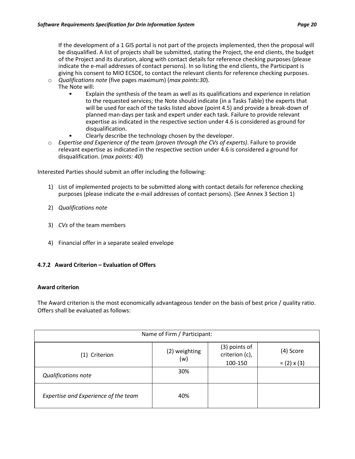If the development of a 1 GIS portal is not part of the projects implemented, then the proposal will be disqualified. Α list of projects shall be submitted, stating the Project, the end clients, the budget of the Project and its duration, along with contact details for reference checking purposes (please indicate the e-mail addresses of contact persons). In so listing the end clients, the Participant is giving his consent to MIO ECSDE, to contact the relevant clients for reference checking purposes.

- o *Qualifications note* (five pages maximum) (*max points:30*). The Note will:
	- Explain the synthesis of the team as well as its qualifications and experience in relation to the requested services; the Note should indicate (in a Tasks Table) the experts that will be used for each of the tasks listed above (point 4.5) and provide a break-down of planned man-days per task and expert under each task. Failure to provide relevant expertise as indicated in the respective section under 4.6 is considered as ground for disqualification.
	- Clearly describe the technology chosen by the developer.
- o *Expertise and Experience of the team (proven through the CVs of experts)*. Failure to provide relevant expertise as indicated in the respective section under 4.6 is considered a ground for disqualification. (*max points: 40*)

Interested Parties should submit an offer including the following:

- 1) List of implemented projects to be submitted along with contact details for reference checking purposes (please indicate the e-mail addresses of contact persons). (See Annex 3 Section 1)
- 2) *Qualifications note*
- 3) *CVs* of the team members
- 4) Financial offer in a separate sealed envelope

#### **4.7.2 Award Criterion – Evaluation of Offers**

#### **Award criterion**

The Award criterion is the most economically advantageous tender on the basis of best price / quality ratio. Offers shall be evaluated as follows:

| Name of Firm / Participant:          |                      |                                            |                                 |  |  |
|--------------------------------------|----------------------|--------------------------------------------|---------------------------------|--|--|
| (1) Criterion                        | (2) weighting<br>(w) | (3) points of<br>criterion (c),<br>100-150 | (4) Score<br>$= (2) \times (3)$ |  |  |
| <b>Qualifications note</b>           | 30%                  |                                            |                                 |  |  |
| Expertise and Experience of the team | 40%                  |                                            |                                 |  |  |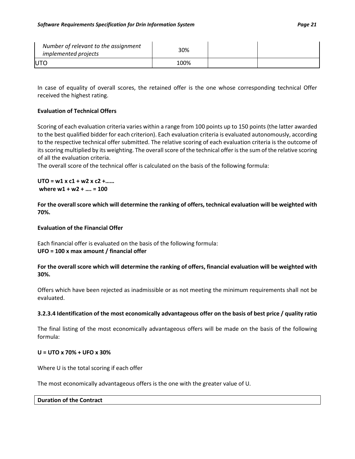| Number of relevant to the assignment<br><i>implemented projects</i> | 30%  |  |
|---------------------------------------------------------------------|------|--|
| <b>UTC</b>                                                          | 100% |  |

In case of equality of overall scores, the retained offer is the one whose corresponding technical Offer received the highest rating.

#### **Evaluation of Technical Offers**

Scoring of each evaluation criteria varies within a range from 100 points up to 150 points (the latter awarded to the best qualified bidder for each criterion). Each evaluation criteria is evaluated autonomously, according to the respective technical offer submitted. The relative scoring of each evaluation criteria is the outcome of its scoring multiplied by its weighting. The overall score of the technical offer is the sum of the relative scoring of all the evaluation criteria.

The overall score of the technical offer is calculated on the basis of the following formula:

#### **UTO = w1 x c1 + w2 x c2 +…… where w1 + w2 + …. = 100**

**For the overall score which will determine the ranking of offers, technical evaluation will be weighted with 70%.**

#### **Evaluation of the Financial Offer**

Each financial offer is evaluated on the basis of the following formula: **UFO = 100 x max amount / financial offer** 

**For the overall score which will determine the ranking of offers, financial evaluation will be weighted with 30%.**

Offers which have been rejected as inadmissible or as not meeting the minimum requirements shall not be evaluated.

#### **3.2.3.4 Identification of the most economically advantageous offer on the basis of best price / quality ratio**

The final listing of the most economically advantageous offers will be made on the basis of the following formula:

#### **U = UTO x 70% + UFO x 30%**

Where U is the total scoring if each offer

The most economically advantageous offers is the one with the greater value of U.

#### **Duration of the Contract**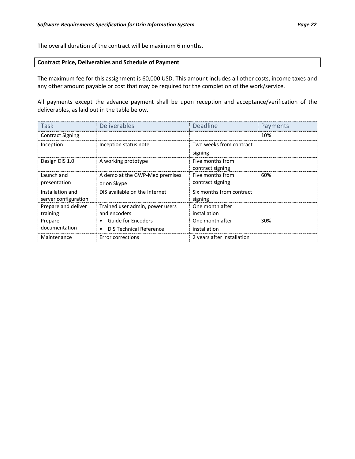The overall duration of the contract will be maximum 6 months.

#### **Contract Price, Deliverables and Schedule of Payment**

The maximum fee for this assignment is 60,000 USD. This amount includes all other costs, income taxes and any other amount payable or cost that may be required for the completion of the work/service.

All payments except the advance payment shall be upon reception and acceptance/verification of the deliverables, as laid out in the table below.

| Task                                     | <b>Deliverables</b>                                         | Deadline                             | Payments |
|------------------------------------------|-------------------------------------------------------------|--------------------------------------|----------|
| <b>Contract Signing</b>                  |                                                             |                                      | 10%      |
| Inception                                | Inception status note                                       | Two weeks from contract<br>signing   |          |
| Design DIS 1.0                           | A working prototype                                         | Five months from<br>contract signing |          |
| Launch and<br>presentation               | A demo at the GWP-Med premises<br>or on Skype               | Five months from<br>contract signing | 60%      |
| Installation and<br>server configuration | DIS available on the Internet                               | Six months from contract<br>signing  |          |
| Prepare and deliver<br>training          | Trained user admin, power users<br>and encoders             | One month after<br>installation      |          |
| Prepare<br>documentation                 | <b>Guide for Encoders</b><br><b>DIS Technical Reference</b> | One month after<br>installation      | 30%      |
| Maintenance                              | Error corrections                                           | 2 years after installation           |          |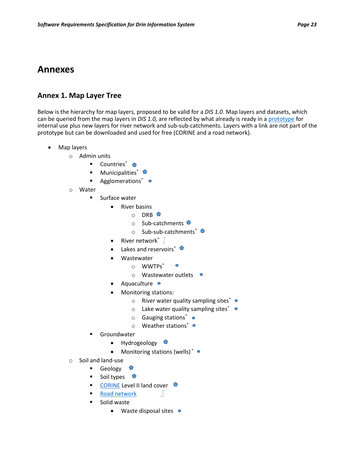## **Annexes**

## <span id="page-25-0"></span>**Annex 1. Map Layer Tree**

Below is the hierarchy for map layers, proposed to be valid for a *DIS 1.0*. Map layers and datasets, which can be queried from the map layers in *DIS 1.0,* are reflected by what already is ready in a [prototype](https://www.arcgis.com/home/webmap/viewer.html?webmap=e48aca0cb16348278ef6800f3608bc13&extent=17.6531,40.8401,22.1685,42.7504) for internal use plus new layers for river network and sub-sub-catchments. Layers with a link are not part of the prototype but can be downloaded and used for free (CORINE and a road network).

- Map layers
	- o Admin units
		- Countries<sup>\*</sup>
		- **■** Municipalities<sup>\*</sup>
		- Agglomerations<sup>\*</sup> ●
	- o Water
		- **■** Surface water
			- River basins
				- $O$  DRB
				- o Sub-catchments
				- o Sub-sub-catchments<sup>\*</sup>
			- River network $*$
			- Lakes and reservoirs\*  $\bullet$
			- Wastewater
				- o WWTPs\*
				- o Wastewater outlets
			- Aquaculture  $\bullet$
			- Monitoring stations:
				- o River water quality sampling sites\*  $\bullet$
				- $\circ$  Lake water quality sampling sites\*  $\bullet$
				- $\circ$  Gauging stations<sup>\*</sup>  $\bullet$
				- $\circ$  Weather stations\*
		- Groundwater
			- Hydrogeology
			- Monitoring stations (wells)  $* \bullet$
	- o Soil and land-use
		- Geology ●
		- Soil types  $\bullet$
		- [CORINE](https://www.eea.europa.eu/publications/COR0-landcover) Level II land cover
		- [Road network](https://mapcruzin.com/free-europe-arcgis-maps-shapefiles.htm)
		- Solid waste
			- Waste disposal sites •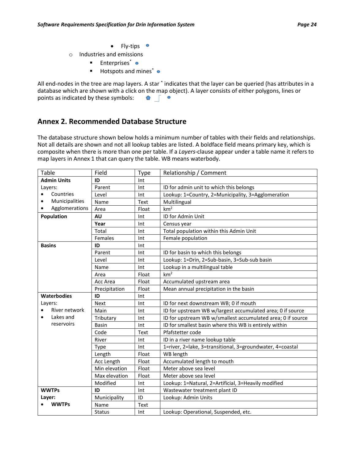- Fly-tips •
- o Industries and emissions
	- Enterprises<sup>\*</sup> ●
	- Hotspots and mines<sup>\*</sup> ●

All end-nodes in the tree are map layers. A star  $^*$  indicates that the layer can be queried (has attributes in a database which are shown with a click on the map object). A layer consists of either polygons, lines or points as indicated by these symbols: points as indicated by these symbols:

### <span id="page-26-0"></span>**Annex 2. Recommended Database Structure**

The database structure shown below holds a minimum number of tables with their fields and relationships. Not all details are shown and not all lookup tables are listed. A boldface field means primary key, which is composite when there is more than one per table. If a *Layers*-clause appear under a table name it refers to map layers in Annex 1 that can query the table. WB means waterbody.

| Table                       | Field         | <b>Type</b> | Relationship / Comment                                      |  |  |
|-----------------------------|---------------|-------------|-------------------------------------------------------------|--|--|
| <b>Admin Units</b>          | ID            | Int         |                                                             |  |  |
| Layers:                     | Parent        | Int         | ID for admin unit to which this belongs                     |  |  |
| Countries<br>$\bullet$      | Level         | Int         | Lookup: 1=Country, 2=Municipality, 3=Agglomeration          |  |  |
| Municipalities<br>$\bullet$ | Name          | Text        | Multilingual                                                |  |  |
| Agglomerations              | Area          | Float       | km <sup>2</sup>                                             |  |  |
| Population                  | AU            | Int         | ID for Admin Unit                                           |  |  |
|                             | Year          | Int         | Census year                                                 |  |  |
|                             | Total         | Int         | Total population within this Admin Unit                     |  |  |
|                             | Females       | Int         | Female population                                           |  |  |
| <b>Basins</b>               | ID            | Int         |                                                             |  |  |
|                             | Parent        | Int         | ID for basin to which this belongs                          |  |  |
|                             | Level         | Int         | Lookup: 1=Drin, 2=Sub-basin, 3=Sub-sub basin                |  |  |
|                             | Name          | Int         | Lookup in a multilingual table                              |  |  |
|                             | Area          | Float       | km <sup>2</sup>                                             |  |  |
|                             | Acc Area      | Float       | Accumulated upstream area                                   |  |  |
|                             | Precipitation | Float       | Mean annual precipitation in the basin                      |  |  |
|                             |               |             |                                                             |  |  |
| <b>Waterbodies</b>          | ID            | Int         |                                                             |  |  |
| Layers:                     | <b>Next</b>   | Int         | ID for next downstream WB; 0 if mouth                       |  |  |
| River network               | Main          | Int         | ID for upstream WB w/largest accumulated area; 0 if source  |  |  |
| Lakes and                   | Tributary     | Int         | ID for upstream WB w/smallest accumulated area; 0 if source |  |  |
| reservoirs                  | <b>Basin</b>  | Int         | ID for smallest basin where this WB is entirely within      |  |  |
|                             | Code          | Text        | Pfafstetter code                                            |  |  |
|                             | River         | Int         | ID in a river name lookup table                             |  |  |
|                             | Type          | Int         | 1=river, 2=lake, 3=transitional, 3=groundwater, 4=coastal   |  |  |
|                             | Length        | Float       | WB length                                                   |  |  |
|                             | Acc Length    | Float       | Accumulated length to mouth                                 |  |  |
|                             | Min elevation | Float       | Meter above sea level                                       |  |  |
|                             | Max elevation | Float       | Meter above sea level                                       |  |  |
|                             | Modified      | Int         | Lookup: 1=Natural, 2=Artificial, 3=Heavily modified         |  |  |
| <b>WWTPs</b>                | ID            | Int         | Wastewater treatment plant ID                               |  |  |
| Layer:                      | Municipality  | ID          | Lookup: Admin Units                                         |  |  |
| <b>WWTPs</b>                | Name          | Text        |                                                             |  |  |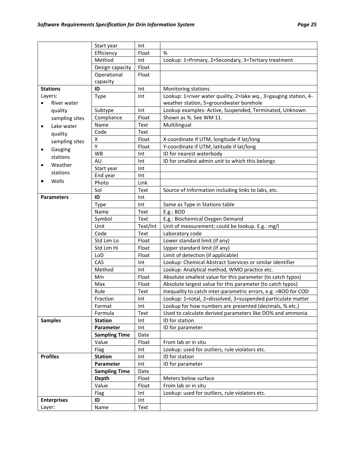|           |                    | Start year           | Int      |                                                                  |
|-----------|--------------------|----------------------|----------|------------------------------------------------------------------|
|           |                    | Efficiency           | Float    | %                                                                |
|           |                    | Method               | Int      | Lookup: 1=Primary, 2=Secondary, 3=Tertiary treatment             |
|           |                    | Design capacity      | Float    |                                                                  |
|           |                    | Operational          | Float    |                                                                  |
|           |                    | capacity             |          |                                                                  |
|           | <b>Stations</b>    | ID                   | Int      | Monitoring stations                                              |
|           | Layers:            | Type                 | Int      | Lookup: 1=river water quality, 2=lake wq., 3=gauging station, 4- |
|           | River water        |                      |          | weather station, 5=groundwater borehole                          |
|           | quality            | Subtype              | Int      | Lookup examples: Active, Suspended, Terminated, Unknown          |
|           | sampling sites     | Compliance           | Float    | Shown as %. See WM 11.                                           |
| $\bullet$ | Lake water         | Name                 | Text     | Multilingual                                                     |
|           | quality            | Code                 | Text     |                                                                  |
|           | sampling sites     | Χ                    | Float    | X-coordinate if UTM, longitude if lat/long                       |
| ٠         | Gauging            | Υ                    | Float    | Y-coordinate if UTM, latitude if lat/long                        |
|           | stations           | WB                   | Int      | ID for nearest waterbody                                         |
|           | Weather            | AU                   | Int      | ID for smallest admin unit to which this belongs                 |
| ٠         |                    | Start year           | Int      |                                                                  |
|           | stations           | End year             | Int      |                                                                  |
|           | Wells              | Photo                | Link     |                                                                  |
|           |                    | Sol                  | Text     | Source of Information including links to labs, etc.              |
|           | <b>Parameters</b>  | ID                   | Int      |                                                                  |
|           |                    | Type                 | Int      | Same as Type in Stations table                                   |
|           |                    | Name                 | Text     | E.g.: BOD                                                        |
|           |                    | Symbol               | Text     | E.g.: Biochemical Oxygen Demand                                  |
|           |                    | Unit                 | Text/Int | Unit of measurement; could be lookup. E.g.: mg/l                 |
|           |                    | Code                 | Text     | Laboratory code                                                  |
|           |                    | Std Lim Lo           | Float    | Lower standard limit (if any)                                    |
|           |                    | Std Lim Hi           | Float    | Upper standard limit (if any)                                    |
|           |                    | LoD                  | Float    | Limit of detection (if applicable)                               |
|           |                    | CAS                  | Int      | Lookup: Chemical Abstract Sservices or similar identifier        |
|           |                    | Method               | Int      | Lookup: Analytical method, WMO practice etc.                     |
|           |                    | Min                  | Float    | Absolute smallest value for this parameter (to catch typos)      |
|           |                    | Max                  | Float    | Absolute largest value for this parameter (to catch typos)       |
|           |                    | Rule                 | Text     | Inequality to catch inter-parametric errors, e.g. >BOD for COD   |
|           |                    | Fraction             | Int      | Lookup: 1=total, 2=dissolved, 3=suspended particulate matter     |
|           |                    | Format               | Int      | Lookup for how numbers are presented (decimals, % etc.)          |
|           |                    | Formula              | Text     | Used to calculate derived parameters like DO% and ammonia        |
|           | <b>Samples</b>     | <b>Station</b>       | Int      | ID for station                                                   |
|           |                    | Parameter            | Int      | ID for parameter                                                 |
|           |                    | <b>Sampling Time</b> | Date     |                                                                  |
|           |                    | Value                | Float    | From lab or in situ                                              |
|           |                    | Flag                 | Int      | Lookup: used for outliers, rule violators etc.                   |
|           | <b>Profiles</b>    | <b>Station</b>       | Int      | ID for station                                                   |
|           |                    | Parameter            | Int      | ID for parameter                                                 |
|           |                    | <b>Sampling Time</b> | Date     |                                                                  |
|           |                    | <b>Depth</b>         | Float    | Meters below surface                                             |
|           |                    | Value                | Float    | From lab or in situ                                              |
|           |                    | Flag                 | Int      | Lookup: used for outliers, rule violators etc.                   |
|           | <b>Enterprises</b> | ID                   | Int      |                                                                  |
| Layer:    |                    | Name                 | Text     |                                                                  |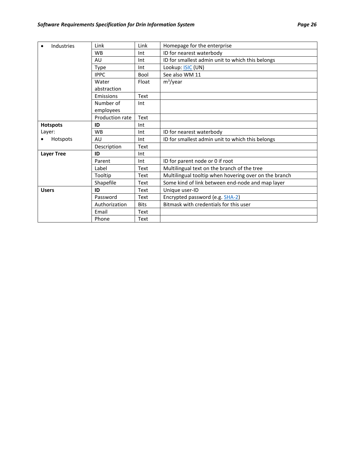| Industries        | Link            | Link        | Homepage for the enterprise                           |  |
|-------------------|-----------------|-------------|-------------------------------------------------------|--|
|                   | <b>WB</b>       | Int         | ID for nearest waterbody                              |  |
|                   | AU              | Int         | ID for smallest admin unit to which this belongs      |  |
|                   | Type            | Int         | Lookup: <b>ISIC</b> (UN)                              |  |
|                   | <b>IPPC</b>     | Bool        | See also WM 11                                        |  |
|                   | Water           | Float       | $m^3$ /year                                           |  |
|                   | abstraction     |             |                                                       |  |
| Emissions         |                 | Text        |                                                       |  |
|                   | Number of       | Int         |                                                       |  |
|                   | employees       |             |                                                       |  |
|                   | Production rate | Text        |                                                       |  |
| <b>Hotspots</b>   | ID              | Int         |                                                       |  |
| Layer:            | <b>WB</b>       | Int         | ID for nearest waterbody                              |  |
| Hotspots          | AU              | Int         | ID for smallest admin unit to which this belongs      |  |
|                   | Description     | Text        |                                                       |  |
| <b>Layer Tree</b> | ID              | Int         |                                                       |  |
|                   | Parent          | Int         | ID for parent node or 0 if root                       |  |
|                   | Label           | Text        | Multilingual text on the branch of the tree           |  |
|                   | Tooltip         | Text        | Multilingual tooltip when hovering over on the branch |  |
|                   | Shapefile       | Text        | Some kind of link between end-node and map layer      |  |
| <b>Users</b>      | ID              | Text        | Unique user-ID                                        |  |
|                   | Password        | Text        | Encrypted password (e.g. SHA-2)                       |  |
|                   | Authorization   | <b>Bits</b> | Bitmask with credentials for this user                |  |
|                   | Email           | Text        |                                                       |  |
|                   | Phone           | Text        |                                                       |  |